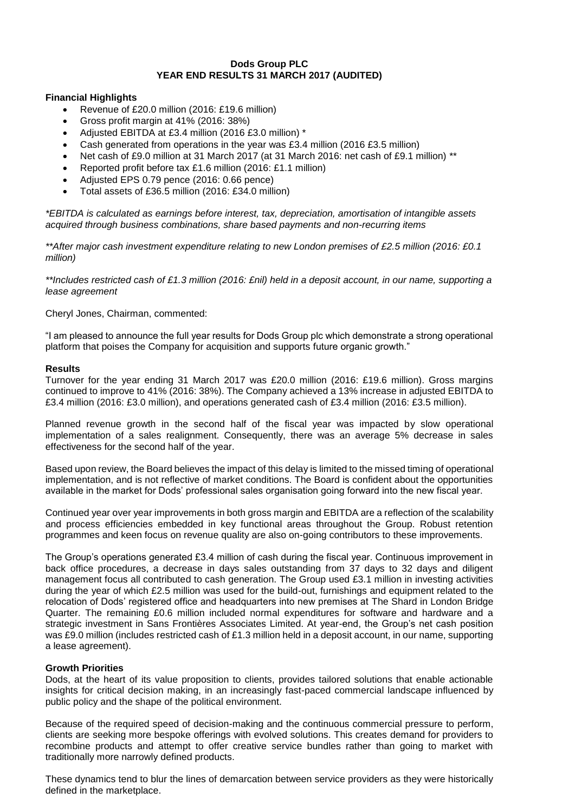## **Dods Group PLC YEAR END RESULTS 31 MARCH 2017 (AUDITED)**

## **Financial Highlights**

- Revenue of £20.0 million (2016: £19.6 million)
- Gross profit margin at 41% (2016: 38%)
- Adjusted EBITDA at £3.4 million (2016 £3.0 million) \*
- Cash generated from operations in the year was £3.4 million (2016 £3.5 million)
- Net cash of £9.0 million at 31 March 2017 (at 31 March 2016: net cash of £9.1 million) \*\*
- Reported profit before tax £1.6 million (2016: £1.1 million)
- Adjusted EPS 0.79 pence (2016: 0.66 pence)
- Total assets of £36.5 million (2016: £34.0 million)

*\*EBITDA is calculated as earnings before interest, tax, depreciation, amortisation of intangible assets acquired through business combinations, share based payments and non-recurring items*

*\*\*After major cash investment expenditure relating to new London premises of £2.5 million (2016: £0.1 million)*

*\*\*Includes restricted cash of £1.3 million (2016: £nil) held in a deposit account, in our name, supporting a lease agreement*

Cheryl Jones, Chairman, commented:

"I am pleased to announce the full year results for Dods Group plc which demonstrate a strong operational platform that poises the Company for acquisition and supports future organic growth."

## **Results**

Turnover for the year ending 31 March 2017 was £20.0 million (2016: £19.6 million). Gross margins continued to improve to 41% (2016: 38%). The Company achieved a 13% increase in adjusted EBITDA to £3.4 million (2016: £3.0 million), and operations generated cash of £3.4 million (2016: £3.5 million).

Planned revenue growth in the second half of the fiscal year was impacted by slow operational implementation of a sales realignment. Consequently, there was an average 5% decrease in sales effectiveness for the second half of the year.

Based upon review, the Board believes the impact of this delay is limited to the missed timing of operational implementation, and is not reflective of market conditions. The Board is confident about the opportunities available in the market for Dods' professional sales organisation going forward into the new fiscal year.

Continued year over year improvements in both gross margin and EBITDA are a reflection of the scalability and process efficiencies embedded in key functional areas throughout the Group. Robust retention programmes and keen focus on revenue quality are also on-going contributors to these improvements.

The Group's operations generated £3.4 million of cash during the fiscal year. Continuous improvement in back office procedures, a decrease in days sales outstanding from 37 days to 32 days and diligent management focus all contributed to cash generation. The Group used £3.1 million in investing activities during the year of which £2.5 million was used for the build-out, furnishings and equipment related to the relocation of Dods' registered office and headquarters into new premises at The Shard in London Bridge Quarter. The remaining £0.6 million included normal expenditures for software and hardware and a strategic investment in Sans Frontières Associates Limited. At year-end, the Group's net cash position was £9.0 million (includes restricted cash of £1.3 million held in a deposit account, in our name, supporting a lease agreement).

# **Growth Priorities**

Dods, at the heart of its value proposition to clients, provides tailored solutions that enable actionable insights for critical decision making, in an increasingly fast-paced commercial landscape influenced by public policy and the shape of the political environment.

Because of the required speed of decision-making and the continuous commercial pressure to perform, clients are seeking more bespoke offerings with evolved solutions. This creates demand for providers to recombine products and attempt to offer creative service bundles rather than going to market with traditionally more narrowly defined products.

These dynamics tend to blur the lines of demarcation between service providers as they were historically defined in the marketplace.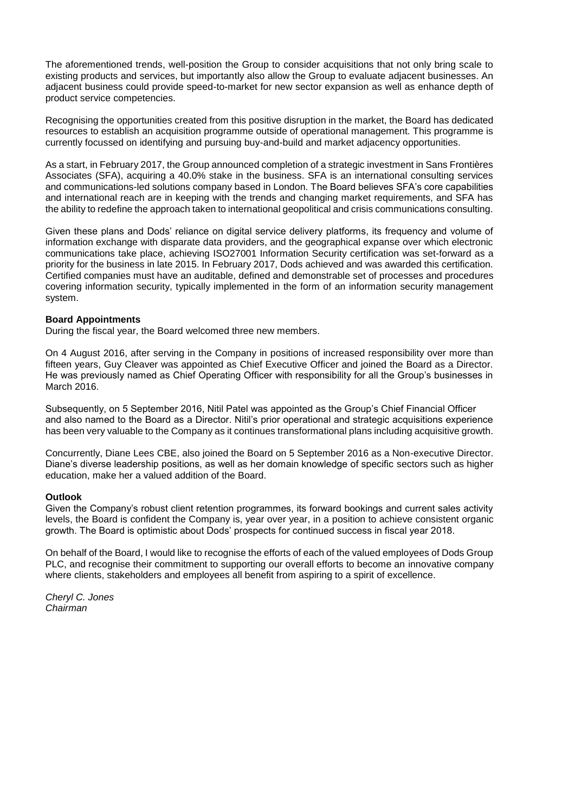The aforementioned trends, well-position the Group to consider acquisitions that not only bring scale to existing products and services, but importantly also allow the Group to evaluate adjacent businesses. An adjacent business could provide speed-to-market for new sector expansion as well as enhance depth of product service competencies.

Recognising the opportunities created from this positive disruption in the market, the Board has dedicated resources to establish an acquisition programme outside of operational management. This programme is currently focussed on identifying and pursuing buy-and-build and market adjacency opportunities.

As a start, in February 2017, the Group announced completion of a strategic investment in Sans Frontières Associates (SFA), acquiring a 40.0% stake in the business. SFA is an international consulting services and communications-led solutions company based in London. The Board believes SFA's core capabilities and international reach are in keeping with the trends and changing market requirements, and SFA has the ability to redefine the approach taken to international geopolitical and crisis communications consulting.

Given these plans and Dods' reliance on digital service delivery platforms, its frequency and volume of information exchange with disparate data providers, and the geographical expanse over which electronic communications take place, achieving ISO27001 Information Security certification was set-forward as a priority for the business in late 2015. In February 2017, Dods achieved and was awarded this certification. Certified companies must have an auditable, defined and demonstrable set of processes and procedures covering information security, typically implemented in the form of an information security management system.

## **Board Appointments**

During the fiscal year, the Board welcomed three new members.

On 4 August 2016, after serving in the Company in positions of increased responsibility over more than fifteen years, Guy Cleaver was appointed as Chief Executive Officer and joined the Board as a Director. He was previously named as Chief Operating Officer with responsibility for all the Group's businesses in March 2016.

Subsequently, on 5 September 2016, Nitil Patel was appointed as the Group's Chief Financial Officer and also named to the Board as a Director. Nitil's prior operational and strategic acquisitions experience has been very valuable to the Company as it continues transformational plans including acquisitive growth.

Concurrently, Diane Lees CBE, also joined the Board on 5 September 2016 as a Non-executive Director. Diane's diverse leadership positions, as well as her domain knowledge of specific sectors such as higher education, make her a valued addition of the Board.

## **Outlook**

Given the Company's robust client retention programmes, its forward bookings and current sales activity levels, the Board is confident the Company is, year over year, in a position to achieve consistent organic growth. The Board is optimistic about Dods' prospects for continued success in fiscal year 2018.

On behalf of the Board, I would like to recognise the efforts of each of the valued employees of Dods Group PLC, and recognise their commitment to supporting our overall efforts to become an innovative company where clients, stakeholders and employees all benefit from aspiring to a spirit of excellence.

*Cheryl C. Jones Chairman*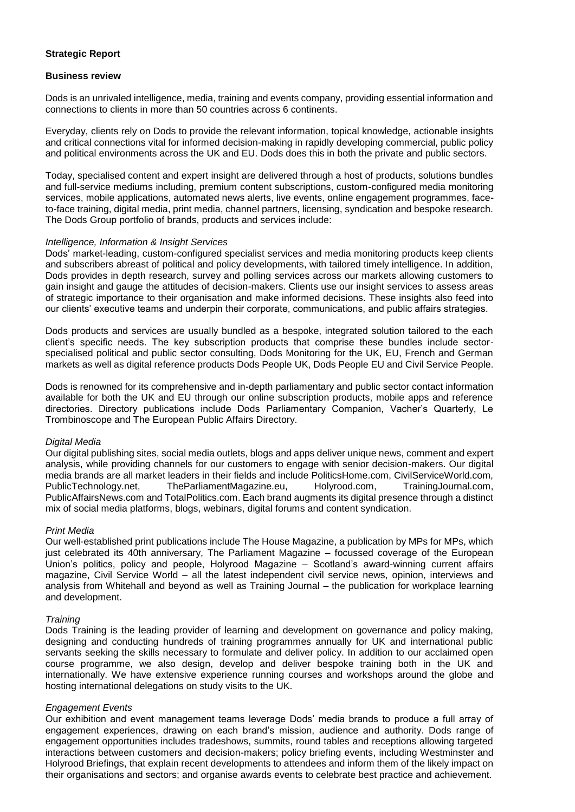# **Strategic Report**

## **Business review**

Dods is an unrivaled intelligence, media, training and events company, providing essential information and connections to clients in more than 50 countries across 6 continents.

Everyday, clients rely on Dods to provide the relevant information, topical knowledge, actionable insights and critical connections vital for informed decision-making in rapidly developing commercial, public policy and political environments across the UK and EU. Dods does this in both the private and public sectors.

Today, specialised content and expert insight are delivered through a host of products, solutions bundles and full-service mediums including, premium content subscriptions, custom-configured media monitoring services, mobile applications, automated news alerts, live events, online engagement programmes, faceto-face training, digital media, print media, channel partners, licensing, syndication and bespoke research. The Dods Group portfolio of brands, products and services include:

## *Intelligence, Information & Insight Services*

Dods' market-leading, custom-configured specialist services and media monitoring products keep clients and subscribers abreast of political and policy developments, with tailored timely intelligence. In addition, Dods provides in depth research, survey and polling services across our markets allowing customers to gain insight and gauge the attitudes of decision-makers. Clients use our insight services to assess areas of strategic importance to their organisation and make informed decisions. These insights also feed into our clients' executive teams and underpin their corporate, communications, and public affairs strategies.

Dods products and services are usually bundled as a bespoke, integrated solution tailored to the each client's specific needs. The key subscription products that comprise these bundles include sectorspecialised political and public sector consulting, Dods Monitoring for the UK, EU, French and German markets as well as digital reference products Dods People UK, Dods People EU and Civil Service People.

Dods is renowned for its comprehensive and in-depth parliamentary and public sector contact information available for both the UK and EU through our online subscription products, mobile apps and reference directories. Directory publications include Dods Parliamentary Companion, Vacher's Quarterly, Le Trombinoscope and The European Public Affairs Directory.

## *Digital Media*

Our digital publishing sites, social media outlets, blogs and apps deliver unique news, comment and expert analysis, while providing channels for our customers to engage with senior decision-makers. Our digital media brands are all market leaders in their fields and include PoliticsHome.com, CivilServiceWorld.com, PublicTechnology.net, TheParliamentMagazine.eu, Holyrood.com, TrainingJournal.com, PublicAffairsNews.com and TotalPolitics.com. Each brand augments its digital presence through a distinct mix of social media platforms, blogs, webinars, digital forums and content syndication.

## *Print Media*

Our well-established print publications include The House Magazine, a publication by MPs for MPs, which just celebrated its 40th anniversary, The Parliament Magazine – focussed coverage of the European Union's politics, policy and people, Holyrood Magazine – Scotland's award-winning current affairs magazine, Civil Service World – all the latest independent civil service news, opinion, interviews and analysis from Whitehall and beyond as well as Training Journal – the publication for workplace learning and development.

## *Training*

Dods Training is the leading provider of learning and development on governance and policy making, designing and conducting hundreds of training programmes annually for UK and international public servants seeking the skills necessary to formulate and deliver policy. In addition to our acclaimed open course programme, we also design, develop and deliver bespoke training both in the UK and internationally. We have extensive experience running courses and workshops around the globe and hosting international delegations on study visits to the UK.

## *Engagement Events*

Our exhibition and event management teams leverage Dods' media brands to produce a full array of engagement experiences, drawing on each brand's mission, audience and authority. Dods range of engagement opportunities includes tradeshows, summits, round tables and receptions allowing targeted interactions between customers and decision-makers; policy briefing events, including Westminster and Holyrood Briefings, that explain recent developments to attendees and inform them of the likely impact on their organisations and sectors; and organise awards events to celebrate best practice and achievement.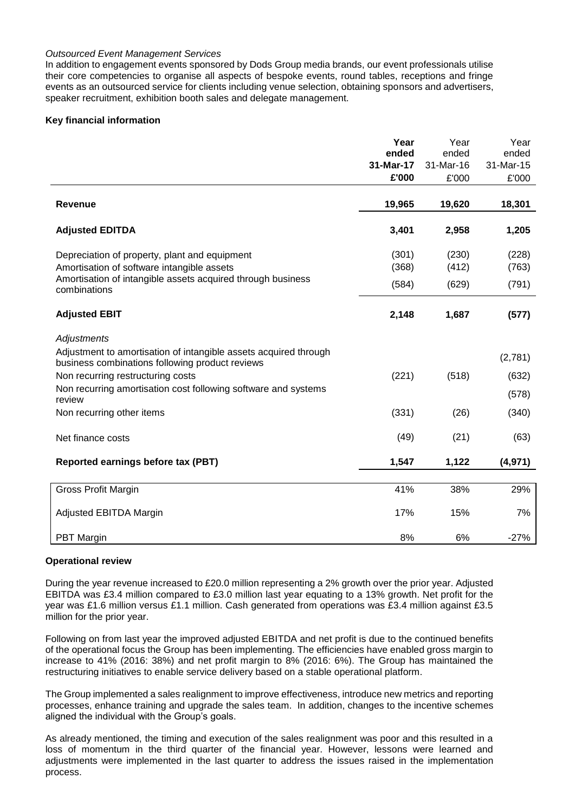## *Outsourced Event Management Services*

In addition to engagement events sponsored by Dods Group media brands, our event professionals utilise their core competencies to organise all aspects of bespoke events, round tables, receptions and fringe events as an outsourced service for clients including venue selection, obtaining sponsors and advertisers, speaker recruitment, exhibition booth sales and delegate management.

# **Key financial information**

|                                                                                                                     | Year           | Year           | Year           |
|---------------------------------------------------------------------------------------------------------------------|----------------|----------------|----------------|
|                                                                                                                     | ended          | ended          | ended          |
|                                                                                                                     | 31-Mar-17      | 31-Mar-16      | 31-Mar-15      |
|                                                                                                                     | £'000          | £'000          | £'000          |
| <b>Revenue</b>                                                                                                      | 19,965         | 19,620         | 18,301         |
| <b>Adjusted EDITDA</b>                                                                                              | 3,401          | 2,958          | 1,205          |
| Depreciation of property, plant and equipment<br>Amortisation of software intangible assets                         | (301)<br>(368) | (230)<br>(412) | (228)<br>(763) |
| Amortisation of intangible assets acquired through business<br>combinations                                         | (584)          | (629)          | (791)          |
| <b>Adjusted EBIT</b>                                                                                                | 2,148          | 1,687          | (577)          |
| Adjustments                                                                                                         |                |                |                |
| Adjustment to amortisation of intangible assets acquired through<br>business combinations following product reviews |                |                | (2,781)        |
| Non recurring restructuring costs                                                                                   | (221)          | (518)          | (632)          |
| Non recurring amortisation cost following software and systems<br>review                                            |                |                | (578)          |
| Non recurring other items                                                                                           | (331)          | (26)           | (340)          |
| Net finance costs                                                                                                   | (49)           | (21)           | (63)           |
| Reported earnings before tax (PBT)                                                                                  | 1,547          | 1,122          | (4, 971)       |
|                                                                                                                     |                |                |                |
| <b>Gross Profit Margin</b>                                                                                          | 41%            | 38%            | 29%            |
| Adjusted EBITDA Margin                                                                                              | 17%            | 15%            | 7%             |
| PBT Margin                                                                                                          | 8%             | 6%             | $-27%$         |

## **Operational review**

During the year revenue increased to £20.0 million representing a 2% growth over the prior year. Adjusted EBITDA was £3.4 million compared to £3.0 million last year equating to a 13% growth. Net profit for the year was £1.6 million versus £1.1 million. Cash generated from operations was £3.4 million against £3.5 million for the prior year.

Following on from last year the improved adjusted EBITDA and net profit is due to the continued benefits of the operational focus the Group has been implementing. The efficiencies have enabled gross margin to increase to 41% (2016: 38%) and net profit margin to 8% (2016: 6%). The Group has maintained the restructuring initiatives to enable service delivery based on a stable operational platform.

The Group implemented a sales realignment to improve effectiveness, introduce new metrics and reporting processes, enhance training and upgrade the sales team. In addition, changes to the incentive schemes aligned the individual with the Group's goals.

As already mentioned, the timing and execution of the sales realignment was poor and this resulted in a loss of momentum in the third quarter of the financial year. However, lessons were learned and adjustments were implemented in the last quarter to address the issues raised in the implementation process.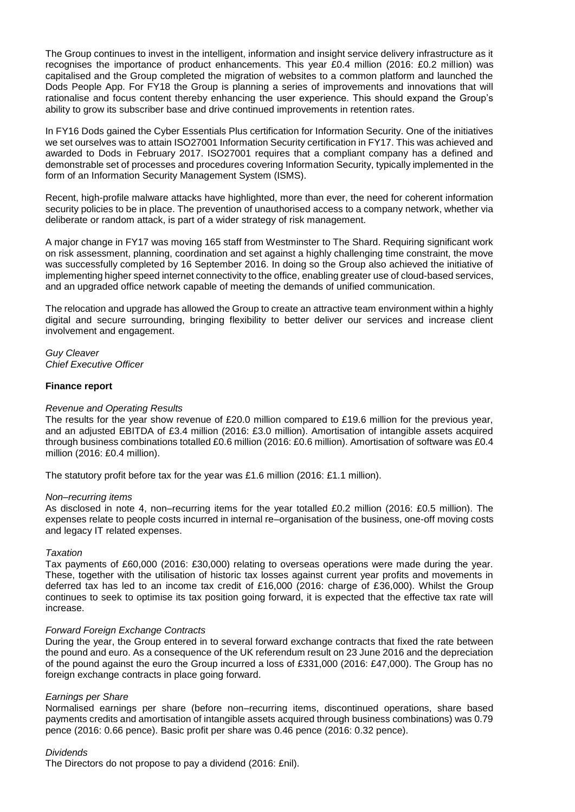The Group continues to invest in the intelligent, information and insight service delivery infrastructure as it recognises the importance of product enhancements. This year £0.4 million (2016: £0.2 million) was capitalised and the Group completed the migration of websites to a common platform and launched the Dods People App. For FY18 the Group is planning a series of improvements and innovations that will rationalise and focus content thereby enhancing the user experience. This should expand the Group's ability to grow its subscriber base and drive continued improvements in retention rates.

In FY16 Dods gained the Cyber Essentials Plus certification for Information Security. One of the initiatives we set ourselves was to attain ISO27001 Information Security certification in FY17. This was achieved and awarded to Dods in February 2017. ISO27001 requires that a compliant company has a defined and demonstrable set of processes and procedures covering Information Security, typically implemented in the form of an Information Security Management System (ISMS).

Recent, high-profile malware attacks have highlighted, more than ever, the need for coherent information security policies to be in place. The prevention of unauthorised access to a company network, whether via deliberate or random attack, is part of a wider strategy of risk management.

A major change in FY17 was moving 165 staff from Westminster to The Shard. Requiring significant work on risk assessment, planning, coordination and set against a highly challenging time constraint, the move was successfully completed by 16 September 2016. In doing so the Group also achieved the initiative of implementing higher speed internet connectivity to the office, enabling greater use of cloud-based services, and an upgraded office network capable of meeting the demands of unified communication.

The relocation and upgrade has allowed the Group to create an attractive team environment within a highly digital and secure surrounding, bringing flexibility to better deliver our services and increase client involvement and engagement.

*Guy Cleaver Chief Executive Officer* 

## **Finance report**

### *Revenue and Operating Results*

The results for the year show revenue of £20.0 million compared to £19.6 million for the previous year, and an adjusted EBITDA of £3.4 million (2016: £3.0 million). Amortisation of intangible assets acquired through business combinations totalled £0.6 million (2016: £0.6 million). Amortisation of software was £0.4 million (2016: £0.4 million).

The statutory profit before tax for the year was £1.6 million (2016: £1.1 million).

### *Non–recurring items*

As disclosed in note 4, non–recurring items for the year totalled £0.2 million (2016: £0.5 million). The expenses relate to people costs incurred in internal re–organisation of the business, one-off moving costs and legacy IT related expenses.

### *Taxation*

Tax payments of £60,000 (2016: £30,000) relating to overseas operations were made during the year. These, together with the utilisation of historic tax losses against current year profits and movements in deferred tax has led to an income tax credit of £16,000 (2016: charge of £36,000). Whilst the Group continues to seek to optimise its tax position going forward, it is expected that the effective tax rate will increase.

### *Forward Foreign Exchange Contracts*

During the year, the Group entered in to several forward exchange contracts that fixed the rate between the pound and euro. As a consequence of the UK referendum result on 23 June 2016 and the depreciation of the pound against the euro the Group incurred a loss of £331,000 (2016: £47,000). The Group has no foreign exchange contracts in place going forward.

### *Earnings per Share*

Normalised earnings per share (before non–recurring items, discontinued operations, share based payments credits and amortisation of intangible assets acquired through business combinations) was 0.79 pence (2016: 0.66 pence). Basic profit per share was 0.46 pence (2016: 0.32 pence).

### *Dividends*

The Directors do not propose to pay a dividend (2016: £nil).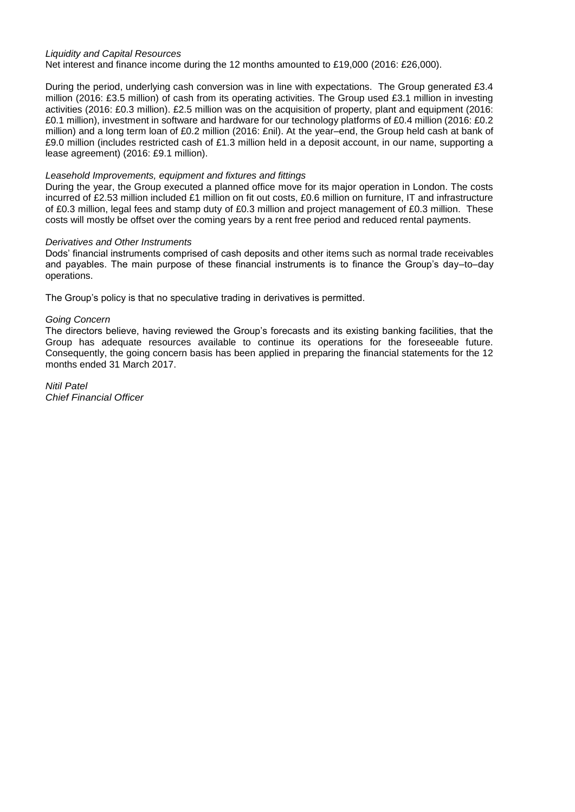## *Liquidity and Capital Resources*

Net interest and finance income during the 12 months amounted to £19,000 (2016: £26,000).

During the period, underlying cash conversion was in line with expectations. The Group generated £3.4 million (2016: £3.5 million) of cash from its operating activities. The Group used £3.1 million in investing activities (2016: £0.3 million). £2.5 million was on the acquisition of property, plant and equipment (2016: £0.1 million), investment in software and hardware for our technology platforms of £0.4 million (2016: £0.2 million) and a long term loan of £0.2 million (2016: £nil). At the year–end, the Group held cash at bank of £9.0 million (includes restricted cash of £1.3 million held in a deposit account, in our name, supporting a lease agreement) (2016: £9.1 million).

## *Leasehold Improvements, equipment and fixtures and fittings*

During the year, the Group executed a planned office move for its major operation in London. The costs incurred of £2.53 million included £1 million on fit out costs, £0.6 million on furniture, IT and infrastructure of £0.3 million, legal fees and stamp duty of £0.3 million and project management of £0.3 million. These costs will mostly be offset over the coming years by a rent free period and reduced rental payments.

## *Derivatives and Other Instruments*

Dods' financial instruments comprised of cash deposits and other items such as normal trade receivables and payables. The main purpose of these financial instruments is to finance the Group's day–to–day operations.

The Group's policy is that no speculative trading in derivatives is permitted.

## *Going Concern*

The directors believe, having reviewed the Group's forecasts and its existing banking facilities, that the Group has adequate resources available to continue its operations for the foreseeable future. Consequently, the going concern basis has been applied in preparing the financial statements for the 12 months ended 31 March 2017.

*Nitil Patel Chief Financial Officer*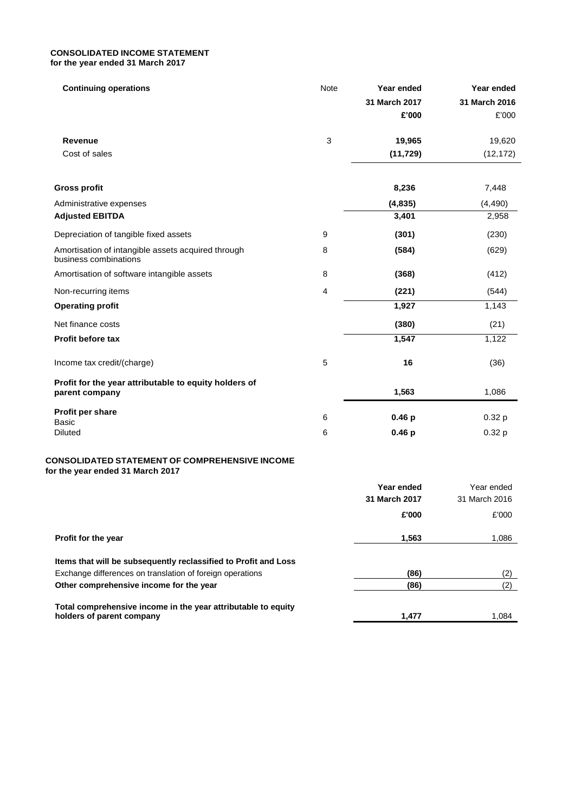## **CONSOLIDATED INCOME STATEMENT for the year ended 31 March 2017**

| <b>Continuing operations</b>                                                              | Note    | Year ended<br>31 March 2017<br>£'000 | Year ended<br>31 March 2016<br>£'000 |
|-------------------------------------------------------------------------------------------|---------|--------------------------------------|--------------------------------------|
| Revenue                                                                                   | 3       | 19,965                               | 19,620                               |
| Cost of sales                                                                             |         | (11, 729)                            | (12, 172)                            |
| <b>Gross profit</b>                                                                       |         | 8,236                                | 7,448                                |
| Administrative expenses                                                                   |         | (4, 835)                             | (4, 490)                             |
| <b>Adjusted EBITDA</b>                                                                    |         | 3,401                                | 2,958                                |
| Depreciation of tangible fixed assets                                                     | 9       | (301)                                | (230)                                |
| Amortisation of intangible assets acquired through<br>business combinations               | 8       | (584)                                | (629)                                |
| Amortisation of software intangible assets                                                | 8       | (368)                                | (412)                                |
| Non-recurring items                                                                       | 4       | (221)                                | (544)                                |
| <b>Operating profit</b>                                                                   |         | 1,927                                | 1,143                                |
| Net finance costs                                                                         |         | (380)                                | (21)                                 |
| <b>Profit before tax</b>                                                                  |         | 1,547                                | 1,122                                |
| Income tax credit/(charge)                                                                | 5       | 16                                   | (36)                                 |
| Profit for the year attributable to equity holders of<br>parent company                   |         | 1,563                                | 1,086                                |
| Profit per share                                                                          | $\,6\,$ | 0.46 <sub>p</sub>                    | 0.32 <sub>p</sub>                    |
| Basic<br><b>Diluted</b>                                                                   | 6       | 0.46 <sub>p</sub>                    | 0.32 <sub>p</sub>                    |
| <b>CONSOLIDATED STATEMENT OF COMPREHENSIVE INCOME</b><br>for the year ended 31 March 2017 |         |                                      |                                      |
|                                                                                           |         | Year ended<br>31 March 2017          | Year ended<br>31 March 2016          |
|                                                                                           |         |                                      |                                      |

|                                                                                            | £'000 | £'000 |
|--------------------------------------------------------------------------------------------|-------|-------|
| <b>Profit for the year</b>                                                                 | 1.563 | 1.086 |
| Items that will be subsequently reclassified to Profit and Loss                            |       |       |
| Exchange differences on translation of foreign operations                                  | (86)  | (2)   |
| Other comprehensive income for the year                                                    | (86)  | (2)   |
| Total comprehensive income in the year attributable to equity<br>holders of parent company | 1.477 | 1.084 |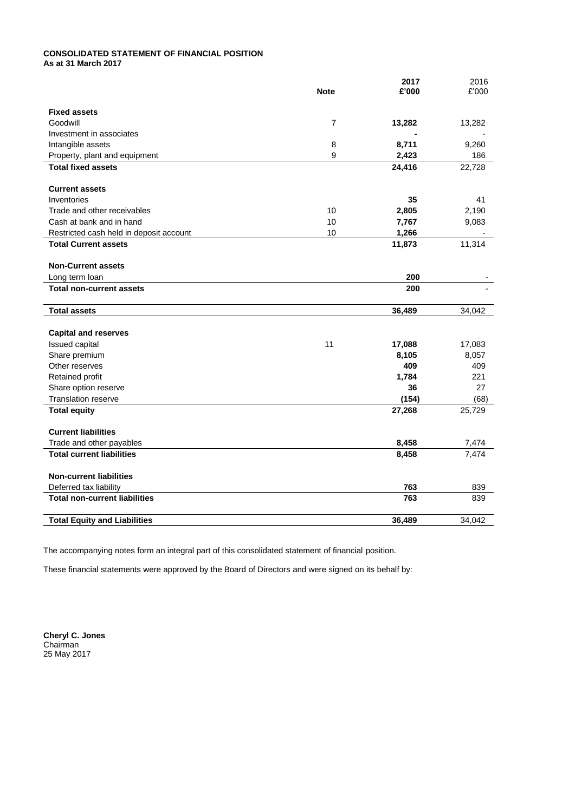### **CONSOLIDATED STATEMENT OF FINANCIAL POSITION As at 31 March 2017**

|                                         | <b>Note</b>    | 2017<br>£'000 | 2016<br>£'000 |
|-----------------------------------------|----------------|---------------|---------------|
| <b>Fixed assets</b>                     |                |               |               |
| Goodwill                                | $\overline{7}$ | 13,282        | 13,282        |
| Investment in associates                |                |               |               |
| Intangible assets                       | 8              | 8,711         | 9,260         |
| Property, plant and equipment           | 9              | 2,423         | 186           |
| <b>Total fixed assets</b>               |                | 24,416        | 22,728        |
| <b>Current assets</b>                   |                |               |               |
| Inventories                             |                | 35            | 41            |
| Trade and other receivables             | 10             | 2,805         | 2,190         |
| Cash at bank and in hand                | 10             | 7,767         | 9,083         |
| Restricted cash held in deposit account | 10             | 1,266         |               |
| <b>Total Current assets</b>             |                | 11,873        | 11,314        |
| <b>Non-Current assets</b>               |                |               |               |
| Long term loan                          |                | 200           |               |
| <b>Total non-current assets</b>         |                | 200           |               |
| <b>Total assets</b>                     |                | 36,489        | 34,042        |
| <b>Capital and reserves</b>             |                |               |               |
| Issued capital                          | 11             | 17,088        | 17,083        |
| Share premium                           |                | 8,105         | 8,057         |
| Other reserves                          |                | 409           | 409           |
| Retained profit                         |                | 1,784         | 221           |
| Share option reserve                    |                | 36            | 27            |
| <b>Translation reserve</b>              |                | (154)         | (68)          |
| <b>Total equity</b>                     |                | 27,268        | 25,729        |
| <b>Current liabilities</b>              |                |               |               |
| Trade and other payables                |                | 8,458         | 7,474         |
| <b>Total current liabilities</b>        |                | 8,458         | 7,474         |
| <b>Non-current liabilities</b>          |                |               |               |
| Deferred tax liability                  |                | 763           | 839           |
| <b>Total non-current liabilities</b>    |                | 763           | 839           |
| <b>Total Equity and Liabilities</b>     |                | 36,489        | 34.042        |

The accompanying notes form an integral part of this consolidated statement of financial position.

These financial statements were approved by the Board of Directors and were signed on its behalf by:

**Cheryl C. Jones** Chairman 25 May 2017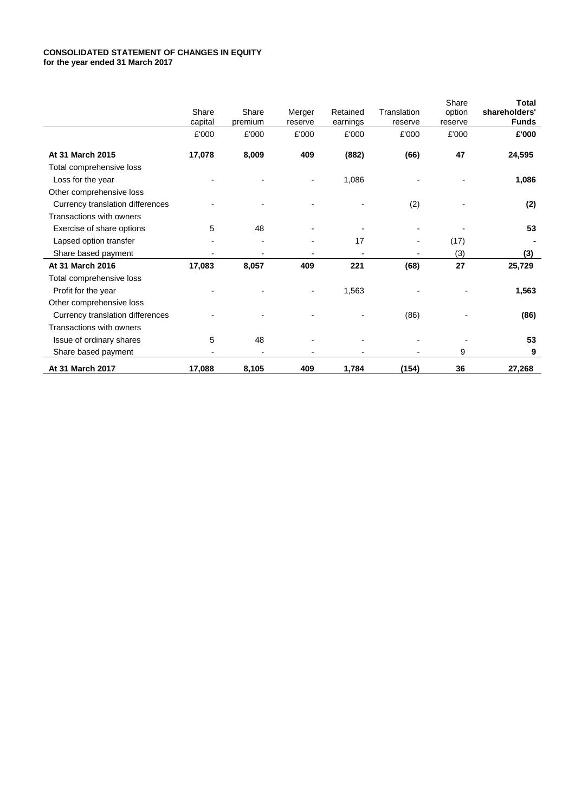### **CONSOLIDATED STATEMENT OF CHANGES IN EQUITY for the year ended 31 March 2017**

|                                  |         |         |         |          |             | Share   | Total         |
|----------------------------------|---------|---------|---------|----------|-------------|---------|---------------|
|                                  | Share   | Share   | Merger  | Retained | Translation | option  | shareholders' |
|                                  | capital | premium | reserve | earnings | reserve     | reserve | <b>Funds</b>  |
|                                  | £'000   | £'000   | £'000   | £'000    | £'000       | £'000   | £'000         |
| At 31 March 2015                 | 17,078  | 8,009   | 409     | (882)    | (66)        | 47      | 24,595        |
| Total comprehensive loss         |         |         |         |          |             |         |               |
| Loss for the year                |         |         |         | 1,086    |             |         | 1,086         |
| Other comprehensive loss         |         |         |         |          |             |         |               |
| Currency translation differences |         |         |         |          | (2)         |         | (2)           |
| Transactions with owners         |         |         |         |          |             |         |               |
| Exercise of share options        | 5       | 48      |         |          |             |         | 53            |
| Lapsed option transfer           |         |         | -       | 17       |             | (17)    |               |
| Share based payment              |         |         |         |          |             | (3)     | (3)           |
| At 31 March 2016                 | 17,083  | 8,057   | 409     | 221      | (68)        | 27      | 25,729        |
| Total comprehensive loss         |         |         |         |          |             |         |               |
| Profit for the year              |         |         |         | 1,563    |             |         | 1,563         |
| Other comprehensive loss         |         |         |         |          |             |         |               |
| Currency translation differences |         |         |         |          | (86)        |         | (86)          |
| Transactions with owners         |         |         |         |          |             |         |               |
| Issue of ordinary shares         | 5       | 48      |         |          |             |         | 53            |
| Share based payment              |         |         |         |          |             | 9       | 9             |
| At 31 March 2017                 | 17,088  | 8,105   | 409     | 1,784    | (154)       | 36      | 27,268        |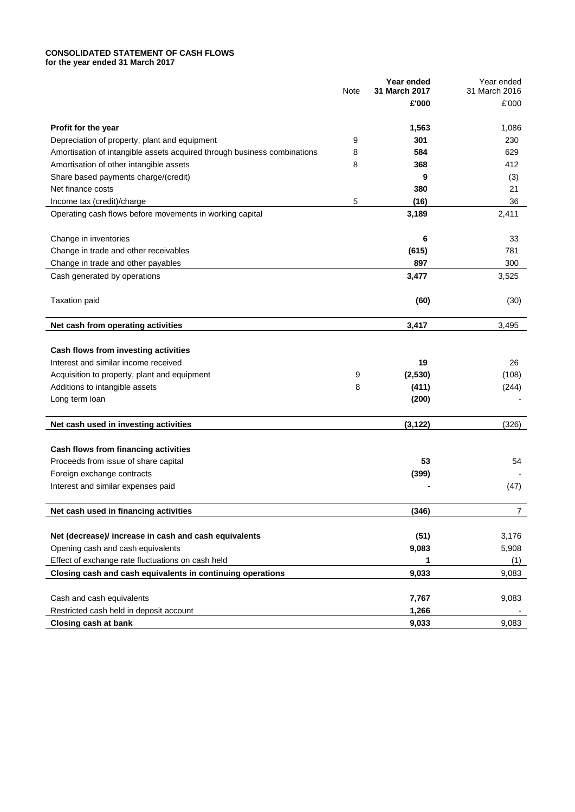### **CONSOLIDATED STATEMENT OF CASH FLOWS for the year ended 31 March 2017**

|                                                                          | Note | Year ended<br>31 March 2017 | Year ended<br>31 March 2016 |
|--------------------------------------------------------------------------|------|-----------------------------|-----------------------------|
|                                                                          |      | £'000                       | £'000                       |
|                                                                          |      |                             |                             |
| Profit for the year                                                      |      | 1,563                       | 1,086                       |
| Depreciation of property, plant and equipment                            | 9    | 301                         | 230                         |
| Amortisation of intangible assets acquired through business combinations | 8    | 584                         | 629                         |
| Amortisation of other intangible assets                                  | 8    | 368                         | 412                         |
| Share based payments charge/(credit)                                     |      | 9                           | (3)                         |
| Net finance costs                                                        |      | 380                         | 21                          |
| Income tax (credit)/charge                                               | 5    | (16)                        | 36                          |
| Operating cash flows before movements in working capital                 |      | 3,189                       | 2,411                       |
| Change in inventories                                                    |      | 6                           | 33                          |
| Change in trade and other receivables                                    |      | (615)                       | 781                         |
| Change in trade and other payables                                       |      | 897                         | 300                         |
| Cash generated by operations                                             |      | 3,477                       | 3,525                       |
| <b>Taxation paid</b>                                                     |      | (60)                        | (30)                        |
| Net cash from operating activities                                       |      | 3,417                       | 3,495                       |
|                                                                          |      |                             |                             |
| Cash flows from investing activities                                     |      |                             |                             |
| Interest and similar income received                                     |      | 19                          | 26                          |
| Acquisition to property, plant and equipment                             | 9    | (2,530)                     | (108)                       |
| Additions to intangible assets                                           | 8    | (411)                       | (244)                       |
| Long term loan                                                           |      | (200)                       |                             |
| Net cash used in investing activities                                    |      | (3, 122)                    | (326)                       |
| Cash flows from financing activities                                     |      |                             |                             |
| Proceeds from issue of share capital                                     |      | 53                          | 54                          |
| Foreign exchange contracts                                               |      | (399)                       |                             |
| Interest and similar expenses paid                                       |      |                             | (47)                        |
| Net cash used in financing activities                                    |      | (346)                       | $\overline{7}$              |
|                                                                          |      |                             |                             |
| Net (decrease)/ increase in cash and cash equivalents                    |      | (51)                        | 3,176                       |
| Opening cash and cash equivalents                                        |      | 9,083                       | 5,908                       |
| Effect of exchange rate fluctuations on cash held                        |      | 1                           | (1)                         |
| Closing cash and cash equivalents in continuing operations               |      | 9,033                       | 9,083                       |
| Cash and cash equivalents                                                |      | 7,767                       | 9,083                       |
| Restricted cash held in deposit account                                  |      | 1,266                       |                             |
| <b>Closing cash at bank</b>                                              |      | 9,033                       | 9,083                       |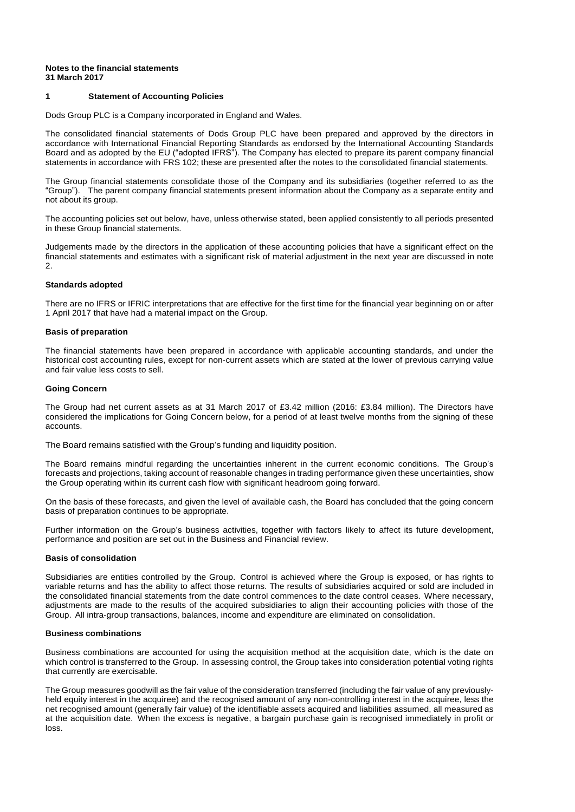### **Notes to the financial statements 31 March 2017**

## **1 Statement of Accounting Policies**

Dods Group PLC is a Company incorporated in England and Wales.

The consolidated financial statements of Dods Group PLC have been prepared and approved by the directors in accordance with International Financial Reporting Standards as endorsed by the International Accounting Standards Board and as adopted by the EU ("adopted IFRS"). The Company has elected to prepare its parent company financial statements in accordance with FRS 102; these are presented after the notes to the consolidated financial statements.

The Group financial statements consolidate those of the Company and its subsidiaries (together referred to as the "Group"). The parent company financial statements present information about the Company as a separate entity and not about its group.

The accounting policies set out below, have, unless otherwise stated, been applied consistently to all periods presented in these Group financial statements.

Judgements made by the directors in the application of these accounting policies that have a significant effect on the financial statements and estimates with a significant risk of material adjustment in the next year are discussed in note 2.

### **Standards adopted**

There are no IFRS or IFRIC interpretations that are effective for the first time for the financial year beginning on or after 1 April 2017 that have had a material impact on the Group.

### **Basis of preparation**

The financial statements have been prepared in accordance with applicable accounting standards, and under the historical cost accounting rules, except for non-current assets which are stated at the lower of previous carrying value and fair value less costs to sell.

#### **Going Concern**

The Group had net current assets as at 31 March 2017 of £3.42 million (2016: £3.84 million). The Directors have considered the implications for Going Concern below, for a period of at least twelve months from the signing of these accounts.

The Board remains satisfied with the Group's funding and liquidity position.

The Board remains mindful regarding the uncertainties inherent in the current economic conditions. The Group's forecasts and projections, taking account of reasonable changes in trading performance given these uncertainties, show the Group operating within its current cash flow with significant headroom going forward.

On the basis of these forecasts, and given the level of available cash, the Board has concluded that the going concern basis of preparation continues to be appropriate.

Further information on the Group's business activities, together with factors likely to affect its future development, performance and position are set out in the Business and Financial review.

#### **Basis of consolidation**

Subsidiaries are entities controlled by the Group. Control is achieved where the Group is exposed, or has rights to variable returns and has the ability to affect those returns. The results of subsidiaries acquired or sold are included in the consolidated financial statements from the date control commences to the date control ceases. Where necessary, adjustments are made to the results of the acquired subsidiaries to align their accounting policies with those of the Group. All intra-group transactions, balances, income and expenditure are eliminated on consolidation.

#### **Business combinations**

Business combinations are accounted for using the acquisition method at the acquisition date, which is the date on which control is transferred to the Group. In assessing control, the Group takes into consideration potential voting rights that currently are exercisable.

The Group measures goodwill as the fair value of the consideration transferred (including the fair value of any previouslyheld equity interest in the acquiree) and the recognised amount of any non-controlling interest in the acquiree, less the net recognised amount (generally fair value) of the identifiable assets acquired and liabilities assumed, all measured as at the acquisition date. When the excess is negative, a bargain purchase gain is recognised immediately in profit or loss.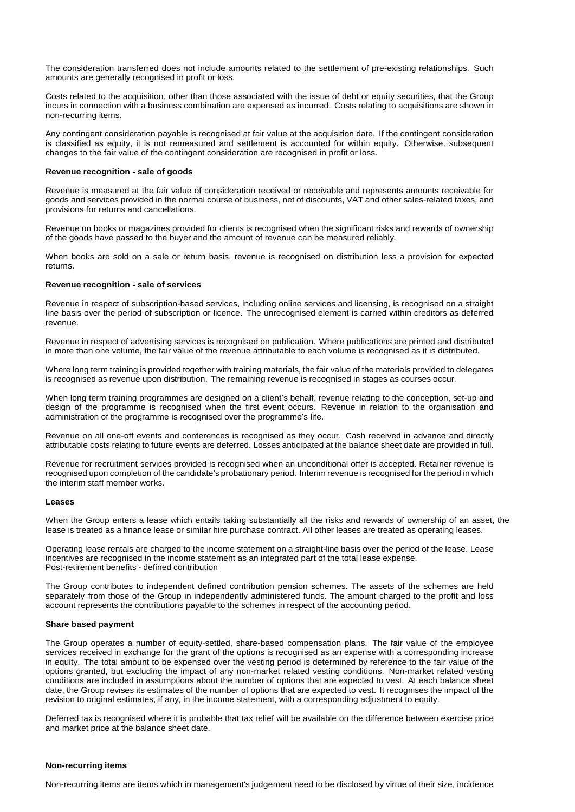The consideration transferred does not include amounts related to the settlement of pre-existing relationships. Such amounts are generally recognised in profit or loss.

Costs related to the acquisition, other than those associated with the issue of debt or equity securities, that the Group incurs in connection with a business combination are expensed as incurred. Costs relating to acquisitions are shown in non-recurring items.

Any contingent consideration payable is recognised at fair value at the acquisition date. If the contingent consideration is classified as equity, it is not remeasured and settlement is accounted for within equity. Otherwise, subsequent changes to the fair value of the contingent consideration are recognised in profit or loss.

#### **Revenue recognition - sale of goods**

Revenue is measured at the fair value of consideration received or receivable and represents amounts receivable for goods and services provided in the normal course of business, net of discounts, VAT and other sales-related taxes, and provisions for returns and cancellations.

Revenue on books or magazines provided for clients is recognised when the significant risks and rewards of ownership of the goods have passed to the buyer and the amount of revenue can be measured reliably.

When books are sold on a sale or return basis, revenue is recognised on distribution less a provision for expected returns.

#### **Revenue recognition - sale of services**

Revenue in respect of subscription-based services, including online services and licensing, is recognised on a straight line basis over the period of subscription or licence. The unrecognised element is carried within creditors as deferred revenue.

Revenue in respect of advertising services is recognised on publication. Where publications are printed and distributed in more than one volume, the fair value of the revenue attributable to each volume is recognised as it is distributed.

Where long term training is provided together with training materials, the fair value of the materials provided to delegates is recognised as revenue upon distribution. The remaining revenue is recognised in stages as courses occur.

When long term training programmes are designed on a client's behalf, revenue relating to the conception, set-up and design of the programme is recognised when the first event occurs. Revenue in relation to the organisation and administration of the programme is recognised over the programme's life.

Revenue on all one-off events and conferences is recognised as they occur. Cash received in advance and directly attributable costs relating to future events are deferred. Losses anticipated at the balance sheet date are provided in full.

Revenue for recruitment services provided is recognised when an unconditional offer is accepted. Retainer revenue is recognised upon completion of the candidate's probationary period. Interim revenue is recognised for the period in which the interim staff member works.

#### **Leases**

When the Group enters a lease which entails taking substantially all the risks and rewards of ownership of an asset, the lease is treated as a finance lease or similar hire purchase contract. All other leases are treated as operating leases.

Operating lease rentals are charged to the income statement on a straight-line basis over the period of the lease. Lease incentives are recognised in the income statement as an integrated part of the total lease expense. Post-retirement benefits - defined contribution

The Group contributes to independent defined contribution pension schemes. The assets of the schemes are held separately from those of the Group in independently administered funds. The amount charged to the profit and loss account represents the contributions payable to the schemes in respect of the accounting period.

#### **Share based payment**

The Group operates a number of equity-settled, share-based compensation plans. The fair value of the employee services received in exchange for the grant of the options is recognised as an expense with a corresponding increase in equity. The total amount to be expensed over the vesting period is determined by reference to the fair value of the options granted, but excluding the impact of any non-market related vesting conditions. Non-market related vesting conditions are included in assumptions about the number of options that are expected to vest. At each balance sheet date, the Group revises its estimates of the number of options that are expected to vest. It recognises the impact of the revision to original estimates, if any, in the income statement, with a corresponding adjustment to equity.

Deferred tax is recognised where it is probable that tax relief will be available on the difference between exercise price and market price at the balance sheet date.

### **Non-recurring items**

Non-recurring items are items which in management's judgement need to be disclosed by virtue of their size, incidence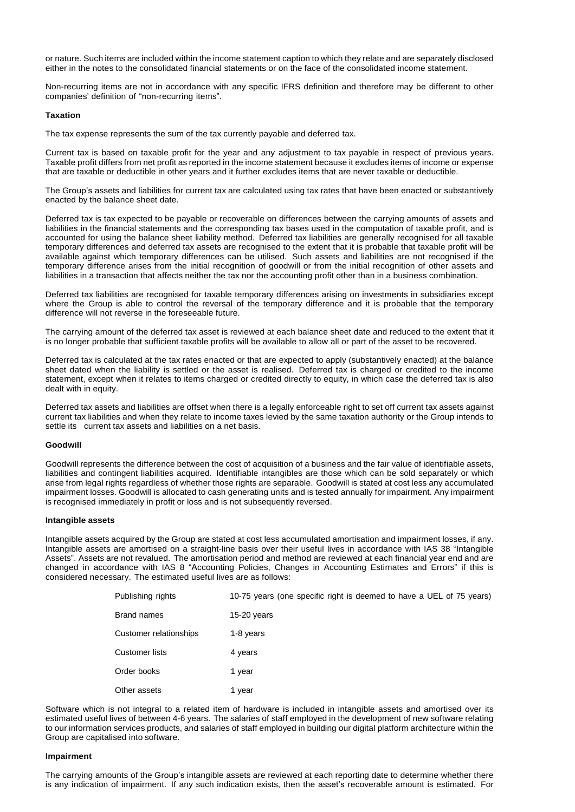or nature. Such items are included within the income statement caption to which they relate and are separately disclosed either in the notes to the consolidated financial statements or on the face of the consolidated income statement.

Non-recurring items are not in accordance with any specific IFRS definition and therefore may be different to other companies' definition of "non-recurring items".

#### **Taxation**

The tax expense represents the sum of the tax currently payable and deferred tax.

Current tax is based on taxable profit for the year and any adjustment to tax payable in respect of previous years. Taxable profit differs from net profit as reported in the income statement because it excludes items of income or expense that are taxable or deductible in other years and it further excludes items that are never taxable or deductible.

The Group's assets and liabilities for current tax are calculated using tax rates that have been enacted or substantively enacted by the balance sheet date.

Deferred tax is tax expected to be payable or recoverable on differences between the carrying amounts of assets and liabilities in the financial statements and the corresponding tax bases used in the computation of taxable profit, and is accounted for using the balance sheet liability method. Deferred tax liabilities are generally recognised for all taxable temporary differences and deferred tax assets are recognised to the extent that it is probable that taxable profit will be available against which temporary differences can be utilised. Such assets and liabilities are not recognised if the temporary difference arises from the initial recognition of goodwill or from the initial recognition of other assets and liabilities in a transaction that affects neither the tax nor the accounting profit other than in a business combination.

Deferred tax liabilities are recognised for taxable temporary differences arising on investments in subsidiaries except where the Group is able to control the reversal of the temporary difference and it is probable that the temporary difference will not reverse in the foreseeable future.

The carrying amount of the deferred tax asset is reviewed at each balance sheet date and reduced to the extent that it is no longer probable that sufficient taxable profits will be available to allow all or part of the asset to be recovered.

Deferred tax is calculated at the tax rates enacted or that are expected to apply (substantively enacted) at the balance sheet dated when the liability is settled or the asset is realised. Deferred tax is charged or credited to the income statement, except when it relates to items charged or credited directly to equity, in which case the deferred tax is also dealt with in equity.

Deferred tax assets and liabilities are offset when there is a legally enforceable right to set off current tax assets against current tax liabilities and when they relate to income taxes levied by the same taxation authority or the Group intends to settle its current tax assets and liabilities on a net basis.

#### **Goodwill**

Goodwill represents the difference between the cost of acquisition of a business and the fair value of identifiable assets, liabilities and contingent liabilities acquired. Identifiable intangibles are those which can be sold separately or which arise from legal rights regardless of whether those rights are separable. Goodwill is stated at cost less any accumulated impairment losses. Goodwill is allocated to cash generating units and is tested annually for impairment. Any impairment is recognised immediately in profit or loss and is not subsequently reversed.

### **Intangible assets**

Intangible assets acquired by the Group are stated at cost less accumulated amortisation and impairment losses, if any. Intangible assets are amortised on a straight-line basis over their useful lives in accordance with IAS 38 "Intangible Assets". Assets are not revalued. The amortisation period and method are reviewed at each financial year end and are changed in accordance with IAS 8 "Accounting Policies, Changes in Accounting Estimates and Errors" if this is considered necessary. The estimated useful lives are as follows:

| Publishing rights      | 10-75 years (one specific right is deemed to have a UEL of 75 years) |
|------------------------|----------------------------------------------------------------------|
| Brand names            | $15-20$ years                                                        |
| Customer relationships | 1-8 years                                                            |
| Customer lists         | 4 years                                                              |
| Order books            | 1 year                                                               |
| Other assets           | 1 year                                                               |

Software which is not integral to a related item of hardware is included in intangible assets and amortised over its estimated useful lives of between 4-6 years. The salaries of staff employed in the development of new software relating to our information services products, and salaries of staff employed in building our digital platform architecture within the Group are capitalised into software.

#### **Impairment**

The carrying amounts of the Group's intangible assets are reviewed at each reporting date to determine whether there is any indication of impairment. If any such indication exists, then the asset's recoverable amount is estimated. For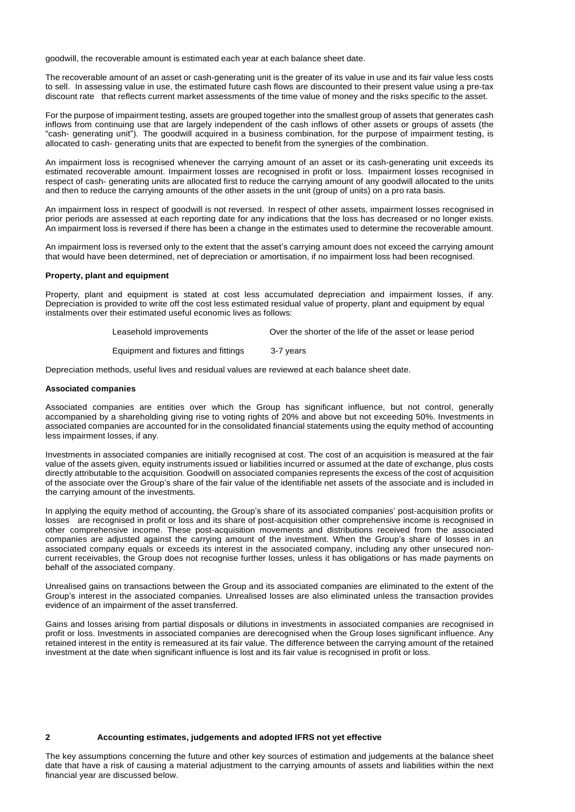goodwill, the recoverable amount is estimated each year at each balance sheet date.

The recoverable amount of an asset or cash-generating unit is the greater of its value in use and its fair value less costs to sell. In assessing value in use, the estimated future cash flows are discounted to their present value using a pre-tax discount rate that reflects current market assessments of the time value of money and the risks specific to the asset.

For the purpose of impairment testing, assets are grouped together into the smallest group of assets that generates cash inflows from continuing use that are largely independent of the cash inflows of other assets or groups of assets (the "cash- generating unit"). The goodwill acquired in a business combination, for the purpose of impairment testing, is allocated to cash- generating units that are expected to benefit from the synergies of the combination.

An impairment loss is recognised whenever the carrying amount of an asset or its cash-generating unit exceeds its estimated recoverable amount. Impairment losses are recognised in profit or loss. Impairment losses recognised in respect of cash- generating units are allocated first to reduce the carrying amount of any goodwill allocated to the units and then to reduce the carrying amounts of the other assets in the unit (group of units) on a pro rata basis.

An impairment loss in respect of goodwill is not reversed. In respect of other assets, impairment losses recognised in prior periods are assessed at each reporting date for any indications that the loss has decreased or no longer exists. An impairment loss is reversed if there has been a change in the estimates used to determine the recoverable amount.

An impairment loss is reversed only to the extent that the asset's carrying amount does not exceed the carrying amount that would have been determined, net of depreciation or amortisation, if no impairment loss had been recognised.

#### **Property, plant and equipment**

Property, plant and equipment is stated at cost less accumulated depreciation and impairment losses, if any. Depreciation is provided to write off the cost less estimated residual value of property, plant and equipment by equal instalments over their estimated useful economic lives as follows:

| Leasehold improvements | Over the shorter of the life of the asset or lease period |
|------------------------|-----------------------------------------------------------|
|------------------------|-----------------------------------------------------------|

Equipment and fixtures and fittings 3-7 years

Depreciation methods, useful lives and residual values are reviewed at each balance sheet date.

#### **Associated companies**

Associated companies are entities over which the Group has significant influence, but not control, generally accompanied by a shareholding giving rise to voting rights of 20% and above but not exceeding 50%. Investments in associated companies are accounted for in the consolidated financial statements using the equity method of accounting less impairment losses, if any.

Investments in associated companies are initially recognised at cost. The cost of an acquisition is measured at the fair value of the assets given, equity instruments issued or liabilities incurred or assumed at the date of exchange, plus costs directly attributable to the acquisition. Goodwill on associated companies represents the excess of the cost of acquisition of the associate over the Group's share of the fair value of the identifiable net assets of the associate and is included in the carrying amount of the investments.

In applying the equity method of accounting, the Group's share of its associated companies' post-acquisition profits or losses are recognised in profit or loss and its share of post-acquisition other comprehensive income is recognised in other comprehensive income. These post-acquisition movements and distributions received from the associated companies are adjusted against the carrying amount of the investment. When the Group's share of losses in an associated company equals or exceeds its interest in the associated company, including any other unsecured noncurrent receivables, the Group does not recognise further losses, unless it has obligations or has made payments on behalf of the associated company.

Unrealised gains on transactions between the Group and its associated companies are eliminated to the extent of the Group's interest in the associated companies. Unrealised losses are also eliminated unless the transaction provides evidence of an impairment of the asset transferred.

Gains and losses arising from partial disposals or dilutions in investments in associated companies are recognised in profit or loss. Investments in associated companies are derecognised when the Group loses significant influence. Any retained interest in the entity is remeasured at its fair value. The difference between the carrying amount of the retained investment at the date when significant influence is lost and its fair value is recognised in profit or loss.

### **2 Accounting estimates, judgements and adopted IFRS not yet effective**

The key assumptions concerning the future and other key sources of estimation and judgements at the balance sheet date that have a risk of causing a material adjustment to the carrying amounts of assets and liabilities within the next financial year are discussed below.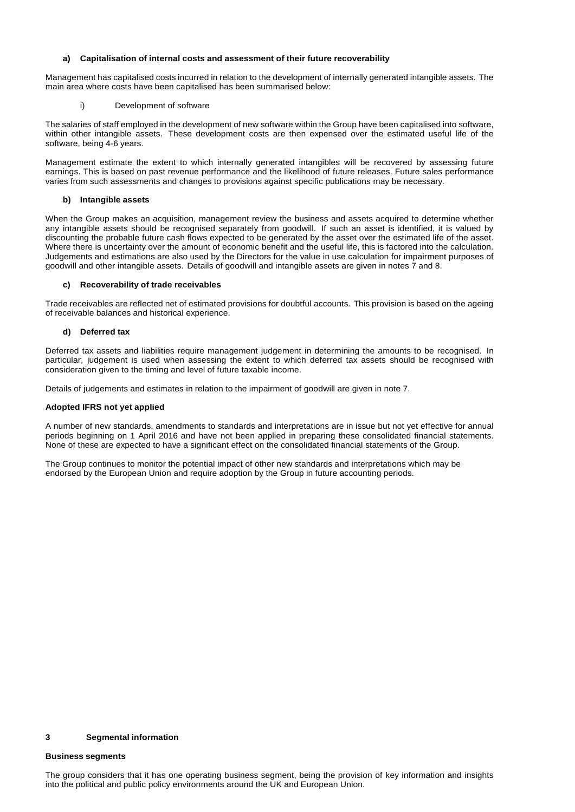### **a) Capitalisation of internal costs and assessment of their future recoverability**

Management has capitalised costs incurred in relation to the development of internally generated intangible assets. The main area where costs have been capitalised has been summarised below:

### Development of software

The salaries of staff employed in the development of new software within the Group have been capitalised into software, within other intangible assets. These development costs are then expensed over the estimated useful life of the software, being 4-6 years.

Management estimate the extent to which internally generated intangibles will be recovered by assessing future earnings. This is based on past revenue performance and the likelihood of future releases. Future sales performance varies from such assessments and changes to provisions against specific publications may be necessary.

### **b) Intangible assets**

When the Group makes an acquisition, management review the business and assets acquired to determine whether any intangible assets should be recognised separately from goodwill. If such an asset is identified, it is valued by discounting the probable future cash flows expected to be generated by the asset over the estimated life of the asset. Where there is uncertainty over the amount of economic benefit and the useful life, this is factored into the calculation. Judgements and estimations are also used by the Directors for the value in use calculation for impairment purposes of goodwill and other intangible assets. Details of goodwill and intangible assets are given in notes 7 and 8.

### **c) Recoverability of trade receivables**

Trade receivables are reflected net of estimated provisions for doubtful accounts. This provision is based on the ageing of receivable balances and historical experience.

### **d) Deferred tax**

Deferred tax assets and liabilities require management judgement in determining the amounts to be recognised. In particular, judgement is used when assessing the extent to which deferred tax assets should be recognised with consideration given to the timing and level of future taxable income.

Details of judgements and estimates in relation to the impairment of goodwill are given in note 7.

### **Adopted IFRS not yet applied**

A number of new standards, amendments to standards and interpretations are in issue but not yet effective for annual periods beginning on 1 April 2016 and have not been applied in preparing these consolidated financial statements. None of these are expected to have a significant effect on the consolidated financial statements of the Group.

The Group continues to monitor the potential impact of other new standards and interpretations which may be endorsed by the European Union and require adoption by the Group in future accounting periods.

### **3 Segmental information**

#### **Business segments**

The group considers that it has one operating business segment, being the provision of key information and insights into the political and public policy environments around the UK and European Union.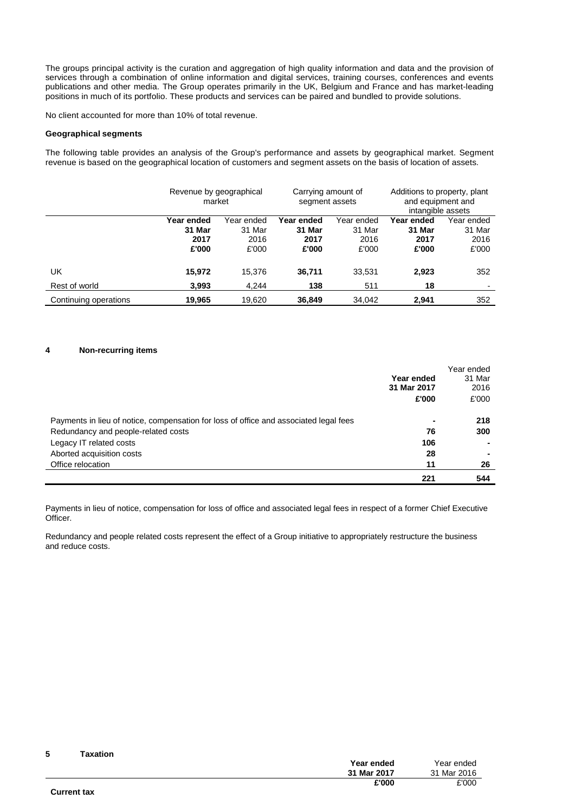The groups principal activity is the curation and aggregation of high quality information and data and the provision of services through a combination of online information and digital services, training courses, conferences and events publications and other media. The Group operates primarily in the UK, Belgium and France and has market-leading positions in much of its portfolio. These products and services can be paired and bundled to provide solutions.

No client accounted for more than 10% of total revenue.

## **Geographical segments**

The following table provides an analysis of the Group's performance and assets by geographical market. Segment revenue is based on the geographical location of customers and segment assets on the basis of location of assets.

|                       | Revenue by geographical<br>market |            | Carrying amount of<br>segment assets |            | Additions to property, plant<br>and equipment and<br>intangible assets |                          |
|-----------------------|-----------------------------------|------------|--------------------------------------|------------|------------------------------------------------------------------------|--------------------------|
|                       | Year ended                        | Year ended | Year ended                           | Year ended | Year ended                                                             | Year ended               |
|                       | 31 Mar                            | 31 Mar     | 31 Mar                               | 31 Mar     | 31 Mar                                                                 | 31 Mar                   |
|                       | 2017                              | 2016       | 2017                                 | 2016       | 2017                                                                   | 2016                     |
|                       | £'000                             | £'000      | £'000                                | £'000      | £'000                                                                  | £'000                    |
| UK                    | 15,972                            | 15,376     | 36,711                               | 33,531     | 2,923                                                                  | 352                      |
| Rest of world         | 3.993                             | 4.244      | 138                                  | 511        | 18                                                                     | $\overline{\phantom{a}}$ |
| Continuing operations | 19,965                            | 19,620     | 36,849                               | 34,042     | 2,941                                                                  | 352                      |

### **4 Non-recurring items**

 $\overline{a}$  $\overline{a}$ 

**5 Taxation**

|                                                                                       | Year ended<br>31 Mar 2017<br>£'000 | Year ended<br>31 Mar<br>2016<br>£'000 |
|---------------------------------------------------------------------------------------|------------------------------------|---------------------------------------|
| Payments in lieu of notice, compensation for loss of office and associated legal fees | $\blacksquare$                     | 218                                   |
| Redundancy and people-related costs                                                   | 76                                 | 300                                   |
| Legacy IT related costs                                                               | 106                                |                                       |
| Aborted acquisition costs                                                             | 28                                 | ۰                                     |
| Office relocation                                                                     | 11                                 | 26                                    |
|                                                                                       | 221                                | 544                                   |

Payments in lieu of notice, compensation for loss of office and associated legal fees in respect of a former Chief Executive Officer.

Redundancy and people related costs represent the effect of a Group initiative to appropriately restructure the business and reduce costs.

| ~                  | . |             |             |
|--------------------|---|-------------|-------------|
|                    |   | Year ended  | Year ended  |
|                    |   | 31 Mar 2017 | 31 Mar 2016 |
|                    |   | £'000       | £'000       |
| <b>Current tax</b> |   |             |             |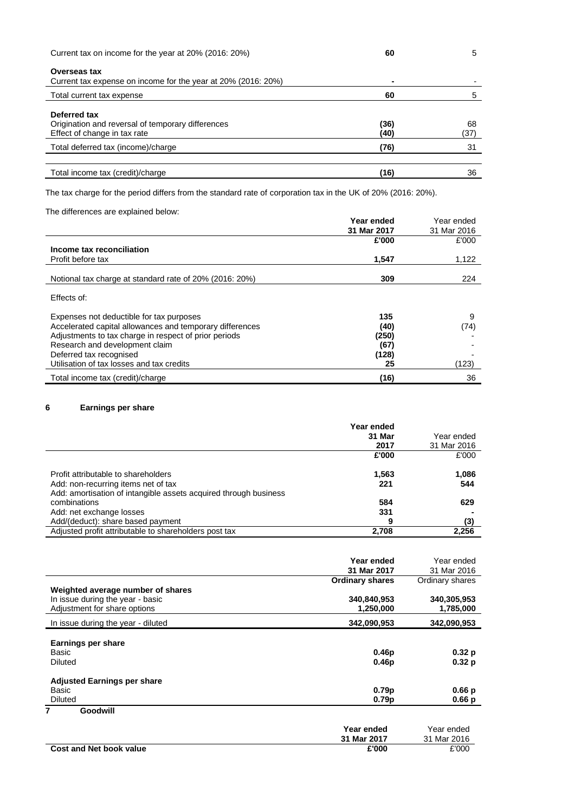| Current tax on income for the year at 20% (2016: 20%)                                             | 60           | 5                    |  |
|---------------------------------------------------------------------------------------------------|--------------|----------------------|--|
| <b>Overseas tax</b><br>Current tax expense on income for the year at 20% (2016: 20%)              |              |                      |  |
| Total current tax expense                                                                         | 60           | 5                    |  |
| Deferred tax<br>Origination and reversal of temporary differences<br>Effect of change in tax rate | (36)<br>(40) | 68<br>$^{\prime}37)$ |  |
| Total deferred tax (income)/charge                                                                | (76)         | 31                   |  |
| Total income tax (credit)/charge                                                                  | (16)         | 36                   |  |

The tax charge for the period differs from the standard rate of corporation tax in the UK of 20% (2016: 20%).

# The differences are explained below:

|                                                          | Year ended  | Year ended  |
|----------------------------------------------------------|-------------|-------------|
|                                                          | 31 Mar 2017 | 31 Mar 2016 |
|                                                          | £'000       | £'000       |
| Income tax reconciliation                                |             |             |
| Profit before tax                                        | 1.547       | 1,122       |
|                                                          |             |             |
| Notional tax charge at standard rate of 20% (2016: 20%)  | 309         | 224         |
| Effects of:                                              |             |             |
| Expenses not deductible for tax purposes                 | 135         | 9           |
| Accelerated capital allowances and temporary differences | (40)        | (74)        |
| Adjustments to tax charge in respect of prior periods    | (250)       |             |
| Research and development claim                           | (67)        |             |
| Deferred tax recognised                                  | (128)       |             |
| Utilisation of tax losses and tax credits                | 25          | (123)       |
| Total income tax (credit)/charge                         | (16)        | 36          |

# **6 Earnings per share**

|                                                                  | Year ended |             |
|------------------------------------------------------------------|------------|-------------|
|                                                                  | 31 Mar     | Year ended  |
|                                                                  | 2017       | 31 Mar 2016 |
|                                                                  | £'000      | £'000       |
| Profit attributable to shareholders                              | 1,563      | 1,086       |
| Add: non-recurring items net of tax                              | 221        | 544         |
| Add: amortisation of intangible assets acquired through business |            |             |
| combinations                                                     | 584        | 629         |
| Add: net exchange losses                                         | 331        |             |
| Add/(deduct): share based payment                                | 9          | (3)         |
| Adjusted profit attributable to shareholders post tax            | 2,708      | 2,256       |

|                                    | Year ended<br>31 Mar 2017 | Year ended<br>31 Mar 2016 |
|------------------------------------|---------------------------|---------------------------|
|                                    | <b>Ordinary shares</b>    | Ordinary shares           |
| Weighted average number of shares  |                           |                           |
| In issue during the year - basic   | 340,840,953               | 340,305,953               |
| Adjustment for share options       | 1,250,000                 | 1,785,000                 |
| In issue during the year - diluted | 342,090,953               | 342,090,953               |
|                                    |                           |                           |
| Earnings per share                 |                           |                           |
| Basic                              | 0.46p                     | 0.32 p                    |
| <b>Diluted</b>                     | 0.46 <sub>p</sub>         | 0.32 p                    |
| <b>Adjusted Earnings per share</b> |                           |                           |
| Basic                              | 0.79 <sub>p</sub>         | 0.66 p                    |
| <b>Diluted</b>                     | 0.79 <sub>p</sub>         | 0.66 p                    |
| 7<br>Goodwill                      |                           |                           |
|                                    | Year ended                | Year ended                |
|                                    | 31 Mar 2017               | 31 Mar 2016               |

| <b>Cost and Net book value</b> | £'000 | £'000 |
|--------------------------------|-------|-------|
|                                |       |       |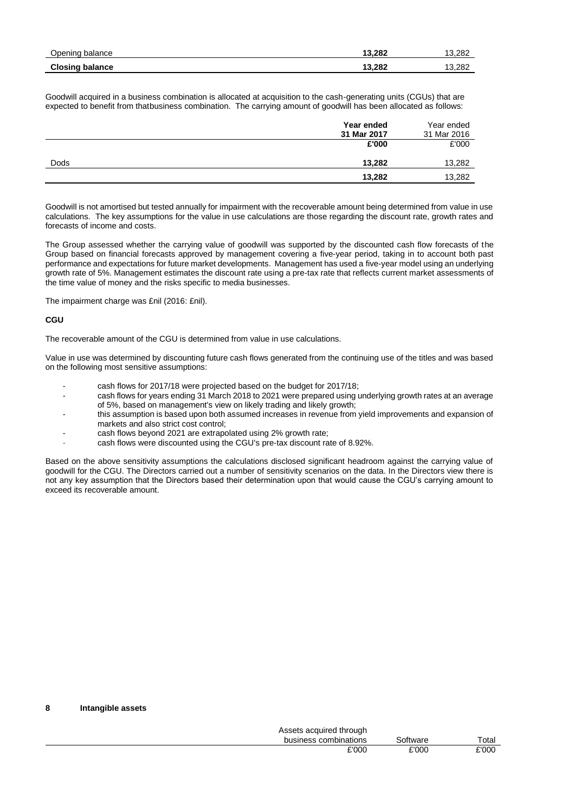| Opening balance        | 13.282 | 13.282 |
|------------------------|--------|--------|
| <b>Closing balance</b> | 13.282 | 13.282 |

Goodwill acquired in a business combination is allocated at acquisition to the cash-generating units (CGUs) that are expected to benefit from thatbusiness combination. The carrying amount of goodwill has been allocated as follows:

|      | Year ended           | Year ended           |
|------|----------------------|----------------------|
|      | 31 Mar 2017<br>£'000 | 31 Mar 2016<br>£'000 |
| Dods | 13,282               | 13,282               |
|      | 13,282               | 13,282               |

Goodwill is not amortised but tested annually for impairment with the recoverable amount being determined from value in use calculations. The key assumptions for the value in use calculations are those regarding the discount rate, growth rates and forecasts of income and costs.

The Group assessed whether the carrying value of goodwill was supported by the discounted cash flow forecasts of the Group based on financial forecasts approved by management covering a five-year period, taking in to account both past performance and expectations for future market developments. Management has used a five-year model using an underlying growth rate of 5%. Management estimates the discount rate using a pre-tax rate that reflects current market assessments of the time value of money and the risks specific to media businesses.

The impairment charge was £nil (2016: £nil).

## **CGU**

The recoverable amount of the CGU is determined from value in use calculations.

Value in use was determined by discounting future cash flows generated from the continuing use of the titles and was based on the following most sensitive assumptions:

- cash flows for 2017/18 were projected based on the budget for 2017/18;
- cash flows for years ending 31 March 2018 to 2021 were prepared using underlying growth rates at an average of 5%, based on management's view on likely trading and likely growth;
- this assumption is based upon both assumed increases in revenue from yield improvements and expansion of markets and also strict cost control;
- cash flows beyond 2021 are extrapolated using 2% growth rate;
- cash flows were discounted using the CGU's pre-tax discount rate of 8.92%.

Based on the above sensitivity assumptions the calculations disclosed significant headroom against the carrying value of goodwill for the CGU. The Directors carried out a number of sensitivity scenarios on the data. In the Directors view there is not any key assumption that the Directors based their determination upon that would cause the CGU's carrying amount to exceed its recoverable amount.

#### **8 Intangible assets**

| Assets acquired through |          |                        |
|-------------------------|----------|------------------------|
| business combinations   | Software | $\tau$ <sub>otal</sub> |
| £'000                   | £'000    | £'000                  |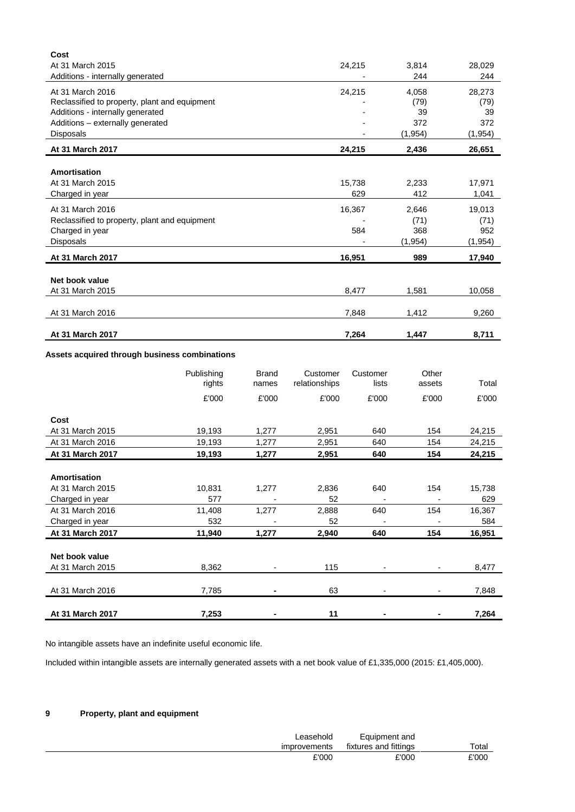| Cost                                          |        |          |          |
|-----------------------------------------------|--------|----------|----------|
| At 31 March 2015                              | 24,215 | 3,814    | 28,029   |
| Additions - internally generated              |        | 244      | 244      |
| At 31 March 2016                              | 24,215 | 4,058    | 28,273   |
| Reclassified to property, plant and equipment |        | (79)     | (79)     |
| Additions - internally generated              |        | 39       | 39       |
| Additions - externally generated              |        | 372      | 372      |
| Disposals                                     |        | (1, 954) | (1, 954) |
| At 31 March 2017                              | 24,215 | 2,436    | 26,651   |
|                                               |        |          |          |
| Amortisation                                  |        |          |          |
| At 31 March 2015                              | 15,738 | 2,233    | 17,971   |
| Charged in year                               | 629    | 412      | 1,041    |
| At 31 March 2016                              | 16,367 | 2,646    | 19,013   |
| Reclassified to property, plant and equipment |        | (71)     | (71)     |
| Charged in year                               | 584    | 368      | 952      |
| Disposals                                     |        | (1, 954) | (1,954)  |
| At 31 March 2017                              | 16,951 | 989      | 17,940   |
|                                               |        |          |          |
| Net book value                                |        |          |          |
| At 31 March 2015                              | 8,477  | 1,581    | 10,058   |
|                                               |        |          |          |
| At 31 March 2016                              | 7,848  | 1,412    | 9,260    |
| At 31 March 2017                              | 7,264  | 1,447    | 8,711    |

# **Assets acquired through business combinations**

|                  | Publishing<br>rights | <b>Brand</b><br>names | Customer<br>relationships | Customer<br>lists        | Other<br>assets          | Total  |
|------------------|----------------------|-----------------------|---------------------------|--------------------------|--------------------------|--------|
|                  |                      |                       |                           |                          |                          |        |
|                  | £'000                | £'000                 | £'000                     | £'000                    | £'000                    | £'000  |
| Cost             |                      |                       |                           |                          |                          |        |
| At 31 March 2015 | 19,193               | 1,277                 | 2,951                     | 640                      | 154                      | 24,215 |
| At 31 March 2016 | 19,193               | 1,277                 | 2,951                     | 640                      | 154                      | 24,215 |
| At 31 March 2017 | 19,193               | 1,277                 | 2,951                     | 640                      | 154                      | 24,215 |
|                  |                      |                       |                           |                          |                          |        |
| Amortisation     |                      |                       |                           |                          |                          |        |
| At 31 March 2015 | 10,831               | 1,277                 | 2,836                     | 640                      | 154                      | 15,738 |
| Charged in year  | 577                  |                       | 52                        |                          |                          | 629    |
| At 31 March 2016 | 11,408               | 1,277                 | 2,888                     | 640                      | 154                      | 16,367 |
| Charged in year  | 532                  |                       | 52                        | $\overline{\phantom{0}}$ | $\overline{\phantom{a}}$ | 584    |
| At 31 March 2017 | 11,940               | 1,277                 | 2,940                     | 640                      | 154                      | 16,951 |
|                  |                      |                       |                           |                          |                          |        |
| Net book value   |                      |                       |                           |                          |                          |        |
| At 31 March 2015 | 8,362                |                       | 115                       |                          |                          | 8,477  |
|                  |                      |                       |                           |                          |                          |        |
| At 31 March 2016 | 7,785                |                       | 63                        |                          | -                        | 7,848  |
|                  |                      |                       |                           |                          |                          |        |
| At 31 March 2017 | 7,253                |                       | 11                        |                          |                          | 7,264  |

No intangible assets have an indefinite useful economic life.

Included within intangible assets are internally generated assets with a net book value of £1,335,000 (2015: £1,405,000).

# **9 Property, plant and equipment**

| ∟easehold<br>improvements | Equipment and<br>fixtures and fittings | Total |
|---------------------------|----------------------------------------|-------|
| £'000                     | £'000                                  | £'000 |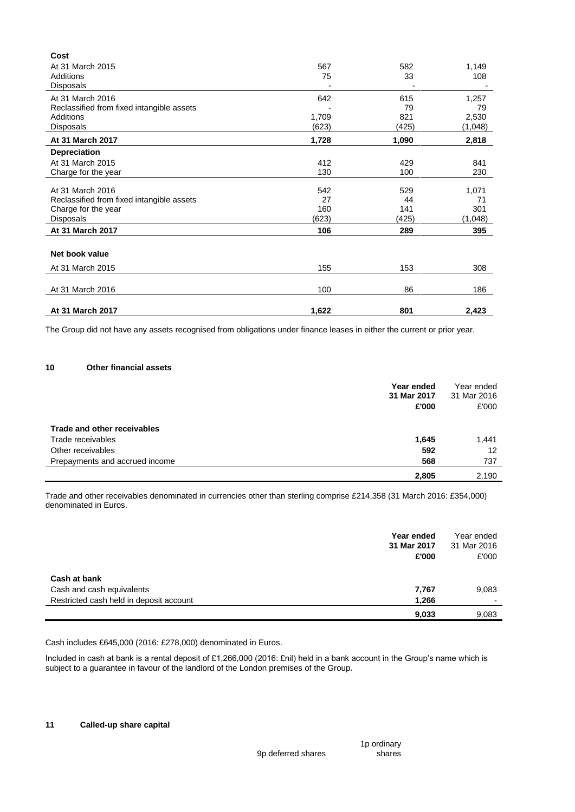| Cost                                      |       |       |         |
|-------------------------------------------|-------|-------|---------|
| At 31 March 2015                          | 567   | 582   | 1,149   |
| Additions                                 | 75    | 33    | 108     |
| <b>Disposals</b>                          |       |       |         |
| At 31 March 2016                          | 642   | 615   | 1,257   |
| Reclassified from fixed intangible assets |       | 79    | 79      |
| Additions                                 | 1,709 | 821   | 2,530   |
| <b>Disposals</b>                          | (623) | (425) | (1,048) |
| At 31 March 2017                          | 1,728 | 1,090 | 2,818   |
| <b>Depreciation</b>                       |       |       |         |
| At 31 March 2015                          | 412   | 429   | 841     |
| Charge for the year                       | 130   | 100   | 230     |
|                                           |       |       |         |
| At 31 March 2016                          | 542   | 529   | 1,071   |
| Reclassified from fixed intangible assets | 27    | 44    | 71      |
| Charge for the year                       | 160   | 141   | 301     |
| Disposals                                 | (623) | (425) | (1,048) |
| At 31 March 2017                          | 106   | 289   | 395     |
|                                           |       |       |         |
| Net book value                            |       |       |         |
| At 31 March 2015                          | 155   | 153   | 308     |
|                                           |       |       |         |
| At 31 March 2016                          | 100   | 86    | 186     |
|                                           |       |       |         |
| <b>At 31 March 2017</b>                   | 1,622 | 801   | 2,423   |

The Group did not have any assets recognised from obligations under finance leases in either the current or prior year.

## **10 Other financial assets**

|                                | Year ended<br>31 Mar 2017<br>£'000 | Year ended<br>31 Mar 2016<br>£'000 |
|--------------------------------|------------------------------------|------------------------------------|
| Trade and other receivables    |                                    |                                    |
| Trade receivables              | 1,645                              | 1,441                              |
| Other receivables              | 592                                | 12                                 |
| Prepayments and accrued income | 568                                | 737                                |
|                                | 2,805                              | 2,190                              |

Trade and other receivables denominated in currencies other than sterling comprise £214,358 (31 March 2016: £354,000) denominated in Euros.

| Year ended<br>31 Mar 2017<br>£'000               | Year ended<br>31 Mar 2016<br>£'000 |
|--------------------------------------------------|------------------------------------|
| Cash at bank                                     |                                    |
| Cash and cash equivalents<br>7,767               | 9,083                              |
| Restricted cash held in deposit account<br>1,266 | $\overline{\phantom{0}}$           |
| 9,033                                            | 9,083                              |

Cash includes £645,000 (2016: £278,000) denominated in Euros.

Included in cash at bank is a rental deposit of £1,266,000 (2016: £nil) held in a bank account in the Group's name which is subject to a guarantee in favour of the landlord of the London premises of the Group.

1p ordinary shares